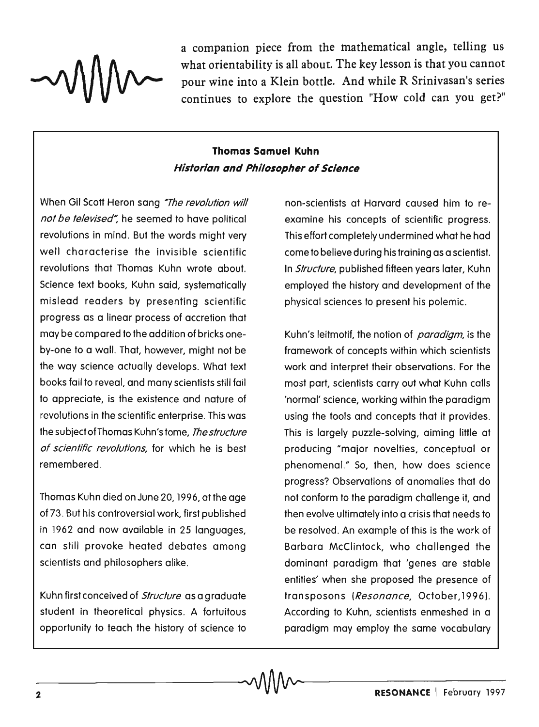a companion piece from the mathematical angle, telling us what orientability is all about. The key lesson is that you cannot pour wine into a Klein bottle. And while R Srinivasan's series continues to explore the question "How cold can you get?"

## **Thomas Samuel Kuhn Historian and Philosopher of Science**

When Gil Scott Heron sang "The revolution will not be televised", he seemed to have political revolutions in mind. But the words might very well characterise the invisible scientific revolutions that Thomas Kuhn wrote about. Science text books, Kuhn said, systematically mislead readers by presenting scientific progress as a linear process of accretion that may be compared to the addition of bricks oneby-one to a wall. That, however, might not be the way science actually develops. What text books fail to reveal, and many scientists still fail to appreciate, is the existence and nature of revolutions in the scientific enterprise. This was the subject of Thomas Kuhn's tome, The structure of scientific revolutions, for which he is best remembered .

Thomas Kuhn died on June 20, 1996, at the age of 73. But his controversial work, first published in 1962 and now available in 25 languages, can still provoke heated debates among scientists and philosophers alike.

Kuhn first conceived of *Structure* as a graduate student in theoretical physics. A fortuitous opportunity to teach the history of science to

non-scientists at Harvard caused him to reexamine his concepts of scientific progress. This effort completely undermined what he had come to believe during his training as a scientist. In Structure, published fifteen years later, Kuhn employed the history and development of the physical sciences to present his polemic.

Kuhn's leitmotif, the notion of *paradigm*, is the framework of concepts within which scientists work and interpret their observations. For the most part, scientists carry out what Kuhn calls 'normal' science, working within the paradigm using the tools and concepts that it provides. This is largely puzzle-solving, aiming little at producing "major novelties, conceptual or phenomenal." So, then, how does science progress? Observations of anomalies that do not conform to the paradigm challenge it, and then evolve ultimately into a crisis that needs to be resolved. An example of this is the work of Barbara McClintock, who challenged the dominant paradigm that 'genes are stable entities' when she proposed the presence of transposons (Resonance, October,1996). According to Kuhn, scientists enmeshed in a paradigm may employ the same vocabulary